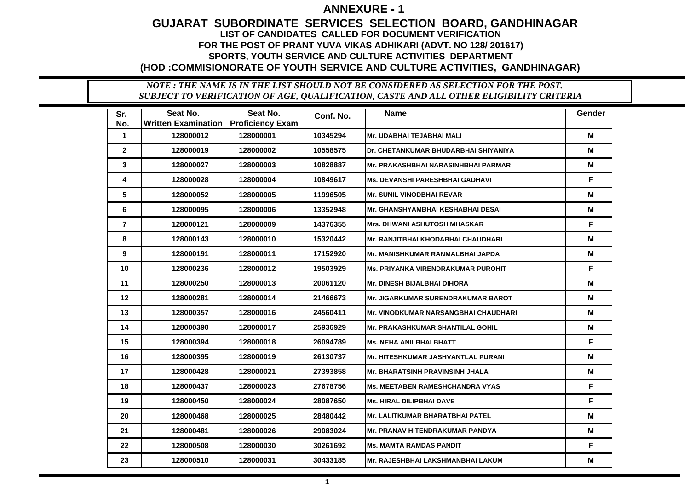## **GUJARAT SUBORDINATE SERVICES SELECTION BOARD, GANDHINAGAR LIST OF CANDIDATES CALLED FOR DOCUMENT VERIFICATION FOR THE POST OF PRANT YUVA VIKAS ADHIKARI (ADVT. NO 128/ 201617) SPORTS, YOUTH SERVICE AND CULTURE ACTIVITIES DEPARTMENT (HOD :COMMISIONORATE OF YOUTH SERVICE AND CULTURE ACTIVITIES, GANDHINAGAR)**

| Sr.            | Seat No.                   | Seat No.                | Conf. No. | <b>Name</b>                               | Gender |
|----------------|----------------------------|-------------------------|-----------|-------------------------------------------|--------|
| No.            | <b>Written Examination</b> | <b>Proficiency Exam</b> |           |                                           |        |
| $\mathbf 1$    | 128000012                  | 128000001               | 10345294  | <b>Mr. UDABHAI TEJABHAI MALI</b>          | М      |
| $\mathbf{2}$   | 128000019                  | 128000002               | 10558575  | Dr. CHETANKUMAR BHUDARBHAI SHIYANIYA      | M      |
| 3              | 128000027                  | 128000003               | 10828887  | Mr. PRAKASHBHAI NARASINHBHAI PARMAR       | М      |
| 4              | 128000028                  | 128000004               | 10849617  | Ms. DEVANSHI PARESHBHAI GADHAVI           | F.     |
| 5              | 128000052                  | 128000005               | 11996505  | <b>Mr. SUNIL VINODBHAI REVAR</b>          | М      |
| 6              | 128000095                  | 128000006               | 13352948  | <b>Mr. GHANSHYAMBHAI KESHABHAI DESAI</b>  | м      |
| $\overline{7}$ | 128000121                  | 128000009               | 14376355  | <b>Mrs. DHWANI ASHUTOSH MHASKAR</b>       | F      |
| 8              | 128000143                  | 128000010               | 15320442  | <b>Mr. RANJITBHAI KHODABHAI CHAUDHARI</b> | M      |
| 9              | 128000191                  | 128000011               | 17152920  | <b>Mr. MANISHKUMAR RANMALBHAI JAPDA</b>   | M      |
| 10             | 128000236                  | 128000012               | 19503929  | <b>Ms. PRIYANKA VIRENDRAKUMAR PUROHIT</b> | F      |
| 11             | 128000250                  | 128000013               | 20061120  | <b>Mr. DINESH BIJALBHAI DIHORA</b>        | M      |
| 12             | 128000281                  | 128000014               | 21466673  | <b>Mr. JIGARKUMAR SURENDRAKUMAR BAROT</b> | М      |
| 13             | 128000357                  | 128000016               | 24560411  | Mr. VINODKUMAR NARSANGBHAI CHAUDHARI      | М      |
| 14             | 128000390                  | 128000017               | 25936929  | Mr. PRAKASHKUMAR SHANTILAL GOHIL          | М      |
| 15             | 128000394                  | 128000018               | 26094789  | Ms. NEHA ANILBHAI BHATT                   | F      |
| 16             | 128000395                  | 128000019               | 26130737  | <b>Mr. HITESHKUMAR JASHVANTLAL PURANI</b> | M      |
| 17             | 128000428                  | 128000021               | 27393858  | <b>Mr. BHARATSINH PRAVINSINH JHALA</b>    | M      |
| 18             | 128000437                  | 128000023               | 27678756  | <b>Ms. MEETABEN RAMESHCHANDRA VYAS</b>    | F      |
| 19             | 128000450                  | 128000024               | 28087650  | <b>Ms. HIRAL DILIPBHAI DAVE</b>           | F      |
| 20             | 128000468                  | 128000025               | 28480442  | <b>Mr. LALITKUMAR BHARATBHAI PATEL</b>    | M      |
| 21             | 128000481                  | 128000026               | 29083024  | <b>Mr. PRANAV HITENDRAKUMAR PANDYA</b>    | м      |
| 22             | 128000508                  | 128000030               | 30261692  | Ms. MAMTA RAMDAS PANDIT                   | F      |
| 23             | 128000510                  | 128000031               | 30433185  | Mr. RAJESHBHAI LAKSHMANBHAI LAKUM         | М      |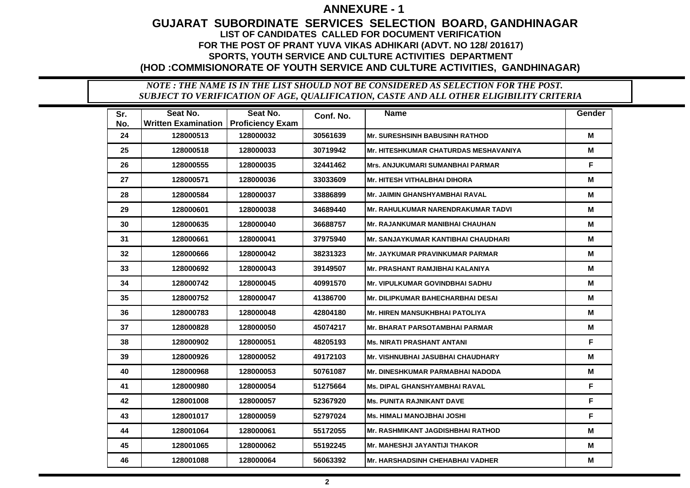## **GUJARAT SUBORDINATE SERVICES SELECTION BOARD, GANDHINAGAR LIST OF CANDIDATES CALLED FOR DOCUMENT VERIFICATION FOR THE POST OF PRANT YUVA VIKAS ADHIKARI (ADVT. NO 128/ 201617) SPORTS, YOUTH SERVICE AND CULTURE ACTIVITIES DEPARTMENT (HOD :COMMISIONORATE OF YOUTH SERVICE AND CULTURE ACTIVITIES, GANDHINAGAR)**

| Sr. | Seat No.                   | Seat No.                | Conf. No. | <b>Name</b>                                  | Gender |
|-----|----------------------------|-------------------------|-----------|----------------------------------------------|--------|
| No. | <b>Written Examination</b> | <b>Proficiency Exam</b> |           |                                              |        |
| 24  | 128000513                  | 128000032               | 30561639  | <b>Mr. SURESHSINH BABUSINH RATHOD</b>        | M      |
| 25  | 128000518                  | 128000033               | 30719942  | <b>Mr. HITESHKUMAR CHATURDAS MESHAVANIYA</b> | M      |
| 26  | 128000555                  | 128000035               | 32441462  | <b>Mrs. ANJUKUMARI SUMANBHAI PARMAR</b>      | F      |
| 27  | 128000571                  | 128000036               | 33033609  | Mr. HITESH VITHALBHAI DIHORA                 | М      |
| 28  | 128000584                  | 128000037               | 33886899  | Mr. JAIMIN GHANSHYAMBHAI RAVAL               | М      |
| 29  | 128000601                  | 128000038               | 34689440  | <b>Mr. RAHULKUMAR NARENDRAKUMAR TADVI</b>    | м      |
| 30  | 128000635                  | 128000040               | 36688757  | <b>Mr. RAJANKUMAR MANIBHAI CHAUHAN</b>       | М      |
| 31  | 128000661                  | 128000041               | 37975940  | <b>Mr. SANJAYKUMAR KANTIBHAI CHAUDHARI</b>   | М      |
| 32  | 128000666                  | 128000042               | 38231323  | <b>Mr. JAYKUMAR PRAVINKUMAR PARMAR</b>       | М      |
| 33  | 128000692                  | 128000043               | 39149507  | Mr. PRASHANT RAMJIBHAI KALANIYA              | M      |
| 34  | 128000742                  | 128000045               | 40991570  | <b>Mr. VIPULKUMAR GOVINDBHAI SADHU</b>       | M      |
| 35  | 128000752                  | 128000047               | 41386700  | <b>Mr. DILIPKUMAR BAHECHARBHAI DESAI</b>     | М      |
| 36  | 128000783                  | 128000048               | 42804180  | Mr. HIREN MANSUKHBHAI PATOLIYA               | М      |
| 37  | 128000828                  | 128000050               | 45074217  | Mr. BHARAT PARSOTAMBHAI PARMAR               | М      |
| 38  | 128000902                  | 128000051               | 48205193  | Ms. NIRATI PRASHANT ANTANI                   | F.     |
| 39  | 128000926                  | 128000052               | 49172103  | <b>Mr. VISHNUBHAI JASUBHAI CHAUDHARY</b>     | M      |
| 40  | 128000968                  | 128000053               | 50761087  | <b>Mr. DINESHKUMAR PARMABHAI NADODA</b>      | М      |
| 41  | 128000980                  | 128000054               | 51275664  | <b>Ms. DIPAL GHANSHYAMBHAI RAVAL</b>         | F      |
| 42  | 128001008                  | 128000057               | 52367920  | <b>Ms. PUNITA RAJNIKANT DAVE</b>             | F.     |
| 43  | 128001017                  | 128000059               | 52797024  | <b>Ms. HIMALI MANOJBHAI JOSHI</b>            | F      |
| 44  | 128001064                  | 128000061               | 55172055  | <b>Mr. RASHMIKANT JAGDISHBHAI RATHOD</b>     | М      |
| 45  | 128001065                  | 128000062               | 55192245  | Mr. MAHESHJI JAYANTIJI THAKOR                | М      |
| 46  | 128001088                  | 128000064               | 56063392  | Mr. HARSHADSINH CHEHABHAI VADHER             | М      |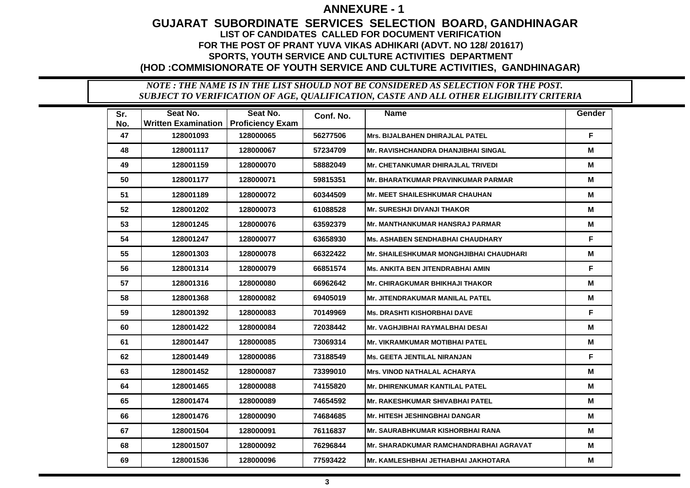## **GUJARAT SUBORDINATE SERVICES SELECTION BOARD, GANDHINAGAR LIST OF CANDIDATES CALLED FOR DOCUMENT VERIFICATION FOR THE POST OF PRANT YUVA VIKAS ADHIKARI (ADVT. NO 128/ 201617) SPORTS, YOUTH SERVICE AND CULTURE ACTIVITIES DEPARTMENT (HOD :COMMISIONORATE OF YOUTH SERVICE AND CULTURE ACTIVITIES, GANDHINAGAR)**

| Sr. | Seat No.                   | Seat No.                | Conf. No. | <b>Name</b>                              | Gender |
|-----|----------------------------|-------------------------|-----------|------------------------------------------|--------|
| No. | <b>Written Examination</b> | <b>Proficiency Exam</b> |           |                                          |        |
| 47  | 128001093                  | 128000065               | 56277506  | <b>Mrs. BIJALBAHEN DHIRAJLAL PATEL</b>   | F      |
| 48  | 128001117                  | 128000067               | 57234709  | Mr. RAVISHCHANDRA DHANJIBHAI SINGAL      | M      |
| 49  | 128001159                  | 128000070               | 58882049  | <b>Mr. CHETANKUMAR DHIRAJLAL TRIVEDI</b> | М      |
| 50  | 128001177                  | 128000071               | 59815351  | Mr. BHARATKUMAR PRAVINKUMAR PARMAR       | м      |
| 51  | 128001189                  | 128000072               | 60344509  | Mr. MEET SHAILESHKUMAR CHAUHAN           | M      |
| 52  | 128001202                  | 128000073               | 61088528  | <b>Mr. SURESHJI DIVANJI THAKOR</b>       | M      |
| 53  | 128001245                  | 128000076               | 63592379  | <b>Mr. MANTHANKUMAR HANSRAJ PARMAR</b>   | М      |
| 54  | 128001247                  | 128000077               | 63658930  | <b>Ms. ASHABEN SENDHABHAI CHAUDHARY</b>  | F.     |
| 55  | 128001303                  | 128000078               | 66322422  | Mr. SHAILESHKUMAR MONGHJIBHAI CHAUDHARI  | М      |
| 56  | 128001314                  | 128000079               | 66851574  | Ms. ANKITA BEN JITENDRABHAI AMIN         | F      |
| 57  | 128001316                  | 128000080               | 66962642  | <b>Mr. CHIRAGKUMAR BHIKHAJI THAKOR</b>   | M      |
| 58  | 128001368                  | 128000082               | 69405019  | <b>Mr. JITENDRAKUMAR MANILAL PATEL</b>   | М      |
| 59  | 128001392                  | 128000083               | 70149969  | <b>Ms. DRASHTI KISHORBHAI DAVE</b>       | F      |
| 60  | 128001422                  | 128000084               | 72038442  | <b>Mr. VAGHJIBHAI RAYMALBHAI DESAI</b>   | М      |
| 61  | 128001447                  | 128000085               | 73069314  | Mr. VIKRAMKUMAR MOTIBHAI PATEL           | М      |
| 62  | 128001449                  | 128000086               | 73188549  | <b>Ms. GEETA JENTILAL NIRANJAN</b>       | F      |
| 63  | 128001452                  | 128000087               | 73399010  | Mrs. VINOD NATHALAL ACHARYA              | М      |
| 64  | 128001465                  | 128000088               | 74155820  | <b>Mr. DHIRENKUMAR KANTILAL PATEL</b>    | М      |
| 65  | 128001474                  | 128000089               | 74654592  | <b>Mr. RAKESHKUMAR SHIVABHAI PATEL</b>   | М      |
| 66  | 128001476                  | 128000090               | 74684685  | <b>Mr. HITESH JESHINGBHAI DANGAR</b>     | M      |
| 67  | 128001504                  | 128000091               | 76116837  | Mr. SAURABHKUMAR KISHORBHAI RANA         | м      |
| 68  | 128001507                  | 128000092               | 76296844  | Mr. SHARADKUMAR RAMCHANDRABHAI AGRAVAT   | M      |
| 69  | 128001536                  | 128000096               | 77593422  | Mr. KAMLESHBHAI JETHABHAI JAKHOTARA      | M      |